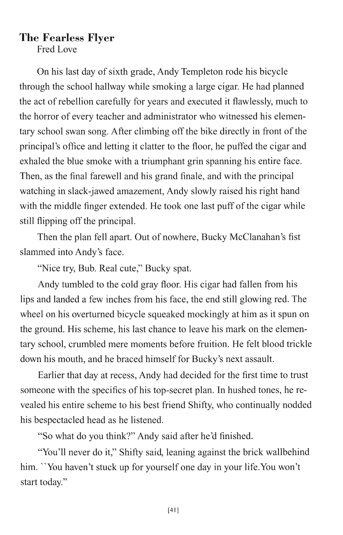## **The Fearless Flyer**

Fred Love

On his last day of sixth grade, Andy Templeton rode his bicycle through the school hallway while smoking a large cigar. He had planned the act of rebellion carefully for years and executed it flawlessly, much to the horror of every teacher and administrator who witnessed his elementary school swan song. After climbing off the bike directly in front of the principal's office and letting it clatter to the floor, he puffed the cigar and exhaled the blue smoke with a triumphant grin spanning his entire face. Then, as the final farewell and his grand finale, and with the principal watching in slack-jawed amazement, Andy slowly raised his right hand with the middle finger extended. He took one last puff of the cigar while still flipping off the principal.

Then the plan fell apart. Out of nowhere, Bucky McClanahan's fist slammed into Andy's face.

"Nice try, Bub. Real cute," Bucky spat.

Andy tumbled to the cold gray floor. His cigar had fallen from his lips and landed a few inches from his face, the end still glowing red. The wheel on his overturned bicycle squeaked mockingly at him as it spun on the ground. His scheme, his last chance to leave his mark on the elementary school, crumbled mere moments before fruition. He felt blood trickle down his mouth, and he braced himself for Bucky's next assault.

Earlier that day at recess, Andy had decided for the first time to trust someone with the specifics of his top-secret plan. In hushed tones, he revealed his entire scheme to his best friend Shifty, who continually nodded his bespectacled head as he listened.

"So what do you think?" Andy said after he'd finished.

"You'll never do it," Shifty said, leaning against the brick wallbehind him. "You haven't stuck up for yourself one day in your life.You won't start today."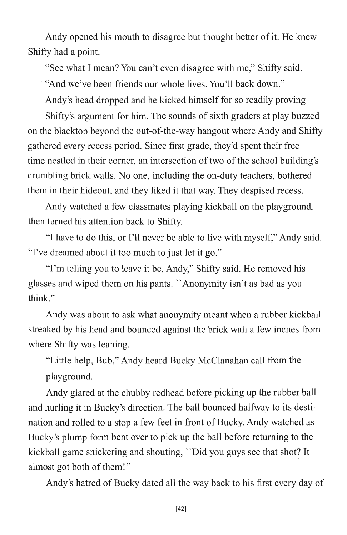Andy opened his mouth to disagree but thought better of it. He knew Shifty had a point.

"See what I mean? You can't even disagree with me," Shifty said.

"And we've been friends our whole lives. You'll back down."

Andy's head dropped and he kicked himself for so readily proving

Shifty's argument for him. The sounds of sixth graders at play buzzed on the blacktop beyond the out-of-the-way hangout where Andy and Shifty gathered every recess period. Since first grade, they'd spent their free time nestled in their corner, an intersection of two of the school building's crumbling brick walls. No one, including the on-duty teachers, bothered them in their hideout, and they liked it that way. They despised recess.

Andy watched a few classmates playing kickball on the playground, then turned his attention back to Shifty.

"I have to do this, or I'll never be able to live with myself," Andy said. "I've dreamed about it too much to just let it go."

"I'm telling you to leave it be, Andy," Shifty said. He removed his glasses and wiped them on his pants. "Anonymity isn't as bad as you think."

Andy was about to ask what anonymity meant when a rubber kickball streaked by his head and bounced against the brick wall a few inches from where Shifty was leaning.

"Little help, Bub," Andy heard Bucky McClanahan call from the playground.

Andy glared at the chubby redhead before picking up the rubber ball and hurling it in Bucky's direction. The ball bounced halfway to its destination and rolled to a stop a few feet in front of Bucky. Andy watched as Bucky's plump form bent over to pick up the ball before returning to the kickball game snickering and shouting, "Did you guys see that shot? It almost got both of them! "

Andy's hatred of Bucky dated all the way back to his first every day of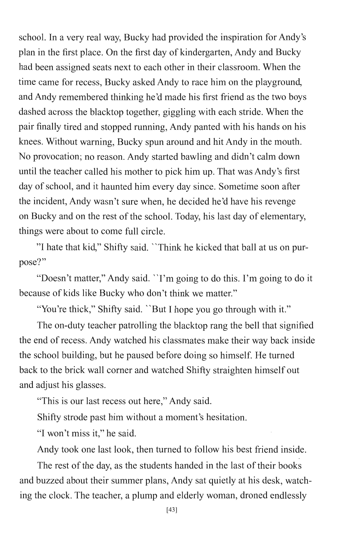school. In a very real way, Bucky had provided the inspiration for Andy's plan in the first place. On the first day of kindergarten, Andy and Bucky had been assigned seats next to each other in their classroom. When the time came for recess, Bucky asked Andy to race him on the playground, and Andy remembered thinking he'd made his first friend as the two boys dashed across the blacktop together, giggling with each stride. When the pair finally tired and stopped running, Andy panted with his hands on his knees. Without warning, Bucky spun around and hit Andy in the mouth. No provocation; no reason. Andy started bawling and didn't calm down until the teacher called his mother to pick him up. That was Andy's first day of school, and it haunted him every day since. Sometime soon after the incident, Andy wasn't sure when, he decided he'd have his revenge on Bucky and on the rest of the school. Today, his last day of elementary, things were about to come full circle.

"1 hate that kid," Shifty said. "Think he kicked that ball at us on purpose?"

"Doesn't matter," Andy said. "I'm going to do this. I'm going to do it because of kids like Bucky who don't think we matter."

"You're thick," Shifty said. "But I hope you go through with it."

The on-duty teacher patrolling the blacktop rang the bell that signified the end of recess. Andy watched his classmates make their way back inside the school building, but he paused before doing so himself. He turned back to the brick wall corner and watched Shifty straighten himself out and adjust his glasses.

"This is our last recess out here," Andy said.

Shifty strode past him without a moment's hesitation.

"I won't miss it," he said.

Andy took one last look, then turned to follow his best friend inside.

The rest of the day, as the students handed in the last of their books and buzzed about their summer plans, Andy sat quietly at his desk, watching the clock. The teacher, a plump and elderly woman, droned endlessly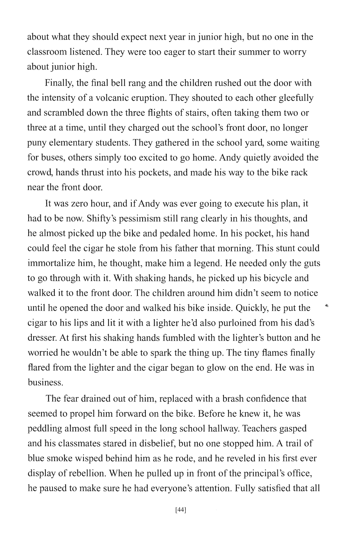about what they should expect next year in junior high, but no one in the classroom listened. They were too eager to start their summer to worry about junior high.

Finally, the final bell rang and the children rushed out the door with the intensity of a volcanic eruption. They shouted to each other gleefully and scrambled down the three flights of stairs, often taking them two or three at a time, until they charged out the school's front door, no longer puny elementary students. They gathered in the school yard, some waiting for buses, others simply too excited to go home. Andy quietly avoided the crowd, hands thrust into his pockets, and made his way to the bike rack near the front door.

It was zero hour, and if Andy was ever going to execute his plan, it had to be now. Shifty's pessimism still rang clearly in his thoughts, and he almost picked up the bike and pedaled home. In his pocket, his hand could feel the cigar he stole from his father that morning. This stunt could immortalize him, he thought, make him a legend. He needed only the guts to go through with it. With shaking hands, he picked up his bicycle and walked it to the front door. The children around him didn't seem to notice until he opened the door and walked his bike inside. Quickly, he put the cigar to his lips and lit it with a lighter he'd also purloined from his dad's dresser. At first his shaking hands fumbled with the lighter's button and he worried he wouldn't be able to spark the thing up. The tiny flames finally flared from the lighter and the cigar began to glow on the end. He was in business.

A,

The fear drained out of him, replaced with a brash confidence that seemed to propel him forward on the bike. Before he knew it, he was peddling almost full speed in the long school hallway. Teachers gasped and his classmates stared in disbelief, but no one stopped him. A trail of blue smoke wisped behind him as he rode, and he reveled in his first ever display of rebellion. When he pulled up in front of the principal's office, he paused to make sure he had everyone's attention. Fully satisfied that all

[44]